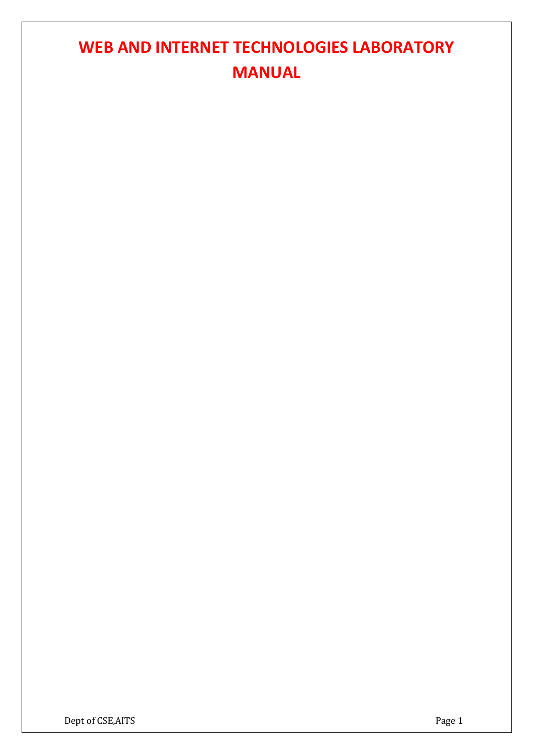# **WEB AND INTERNET TECHNOLOGIES LABORATORY MANUAL**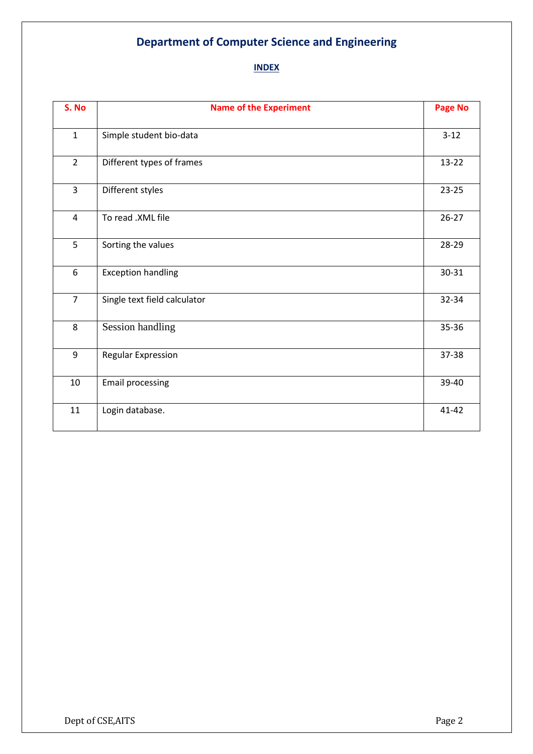# **Department of Computer Science and Engineering**

# **INDEX**

| S. No          | <b>Name of the Experiment</b> | <b>Page No</b> |
|----------------|-------------------------------|----------------|
| $\mathbf{1}$   | Simple student bio-data       | $3 - 12$       |
| $\overline{2}$ | Different types of frames     | $13-22$        |
| $\overline{3}$ | Different styles              | $23 - 25$      |
| $\overline{4}$ | To read .XML file             | $26 - 27$      |
| 5              | Sorting the values            | 28-29          |
| 6              | <b>Exception handling</b>     | 30-31          |
| $\overline{7}$ | Single text field calculator  | 32-34          |
| 8              | <b>Session handling</b>       | 35-36          |
| 9              | <b>Regular Expression</b>     | 37-38          |
| 10             | <b>Email processing</b>       | 39-40          |
| 11             | Login database.               | 41-42          |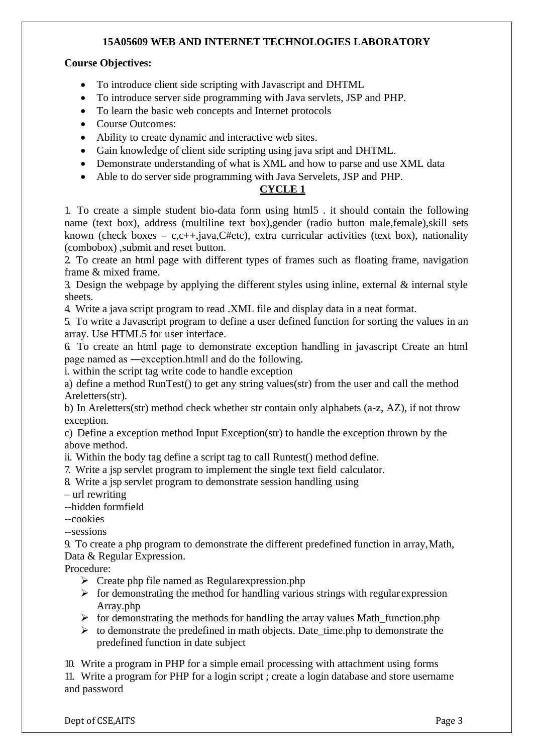# **15A05609 WEB AND INTERNET TECHNOLOGIES LABORATORY**

#### **Course Objectives:**

- To introduce client side scripting with Javascript and DHTML
- To introduce server side programming with Java servlets, JSP and PHP.
- To learn the basic web concepts and Internet protocols
- Course Outcomes:
- Ability to create dynamic and interactive web sites.
- Gain knowledge of client side scripting using java sript and DHTML.
- Demonstrate understanding of what is XML and how to parse and use XML data
- Able to do server side programming with Java Servelets, JSP and PHP.

# **CYCLE 1**

1. To create a simple student bio-data form using html5 . it should contain the following name (text box), address (multiline text box),gender (radio button male,female),skill sets known (check boxes – c,c++,java,C#etc), extra curricular activities (text box), nationality (combobox) ,submit and reset button.

2. To create an html page with different types of frames such as floating frame, navigation frame & mixed frame.

3. Design the webpage by applying the different styles using inline, external  $\&$  internal style sheets.

4. Write a java script program to read .XML file and display data in a neat format.

5. To write a Javascript program to define a user defined function for sorting the values in an array. Use HTML5 for user interface.

6. To create an html page to demonstrate exception handling in javascript Create an html page named as ―exception.html‖ and do the following.

i. within the script tag write code to handle exception

a) define a method RunTest() to get any string values(str) from the user and call the method Areletters(str).

b) In Areletters(str) method check whether str contain only alphabets (a-z, AZ), if not throw exception.

c) Define a exception method Input Exception(str) to handle the exception thrown by the above method.

ii. Within the body tag define a script tag to call Runtest() method define.

7. Write a jsp servlet program to implement the single text field calculator.

8. Write a jsp servlet program to demonstrate session handling using

– url rewriting

--hidden formfield

--cookies

--sessions

9. To create a php program to demonstrate the different predefined function in array,Math, Data & Regular Expression.

Procedure:

- $\triangleright$  Create php file named as Regular expression.php
- $\triangleright$  for demonstrating the method for handling various strings with regular expression Array.php
- $\triangleright$  for demonstrating the methods for handling the array values Math\_function.php
- $\triangleright$  to demonstrate the predefined in math objects. Date\_time.php to demonstrate the predefined function in date subject

10. Write a program in PHP for a simple email processing with attachment using forms 11. Write a program for PHP for a login script ; create a login database and store username and password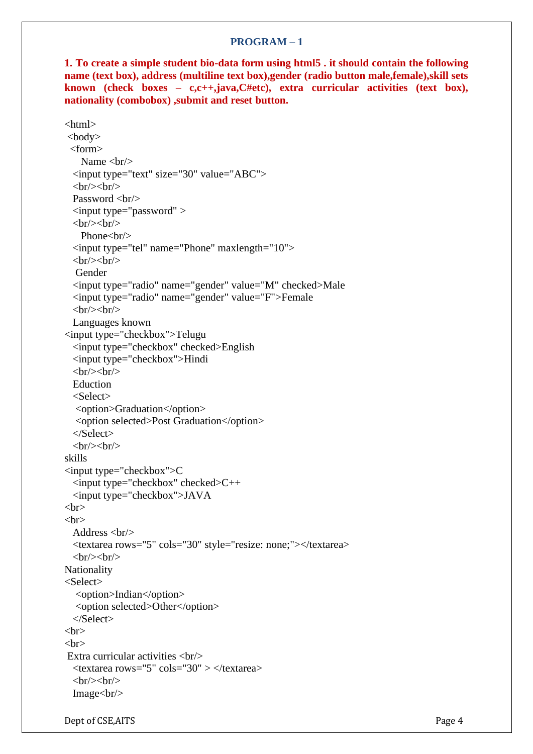**1. To create a simple student bio-data form using html5 . it should contain the following name (text box), address (multiline text box),gender (radio button male,female),skill sets known (check boxes – c,c++,java,C#etc), extra curricular activities (text box), nationality (combobox) ,submit and reset button.**

```
<html><body>
 <form>
    Name <br/> \langle<input type="text" size="30" value="ABC">
  <br/><br/>br/><br/>br/>br/>Password \langle b r \rangle<input type="password" >
  <br/><br/>br/><br/>br/>Phone<br/>>br/>
  <input type="tel" name="Phone" maxlength="10">
  \langle br \rangle \langle br \rangleGender
  <input type="radio" name="gender" value="M" checked>Male
  <input type="radio" name="gender" value="F">Female
  \langle br \rangle \langle br \rangleLanguages known
<input type="checkbox">Telugu
  <input type="checkbox" checked>English
  <input type="checkbox">Hindi
  <br/><br/>br/><br/>br/<br/>Eduction
  <Select>
  <option>Graduation</option>
  <option selected>Post Graduation</option>
  </Select>
  \langlehr/>\ranglehr/>skills
<input type="checkbox">C
  <input type="checkbox" checked>C++
  <input type="checkbox">JAVA
<br/><sub>2</sub><br> <b>br>></b>Address <br/> \langle<textarea rows="5" cols="30" style="resize: none;"></textarea>
  <br/><br/>br/><br/>br/>Nationality
<Select>
   <option>Indian</option>
  <option selected>Other</option>
  </Select>
<br/><br/>br>\langlehr>
Extra curricular activities \langle br \rangle<textarea rows="5" cols="30" > </textarea>
  \langle br \rangle \langle br \rangleImage<br/>>br/>
```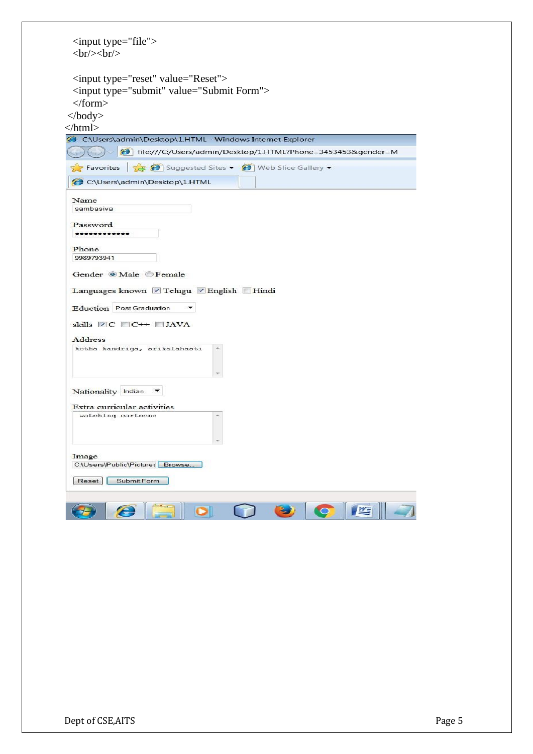| $\langle$ input type="file">                                                                           |
|--------------------------------------------------------------------------------------------------------|
| $br>\>>br>\n$                                                                                          |
|                                                                                                        |
| <input type="reset" value="Reset"/>                                                                    |
| <input type="submit" value="Submit Form"/>                                                             |
| $\langle$ form>                                                                                        |
| </td                                                                                                   |
| $\langle$ html>                                                                                        |
| C:\Users\admin\Desktop\1.HTML - Windows Internet Explorer                                              |
| (→) o G file:///C:/Users/admin/Desktop/1.HTML?Phone=3453453&gender=M                                   |
| <b>Favorites</b> $\frac{1}{2}$ <b>C</b> Suggested Sites $\bullet$ <b>C</b> Web Slice Gallery $\bullet$ |
| C:\Users\admin\Desktop\1.HTML                                                                          |
| Name                                                                                                   |
| sambasiva                                                                                              |
| Password                                                                                               |
|                                                                                                        |
| Phone                                                                                                  |
| 9989793941                                                                                             |
| Gender OMale Female                                                                                    |
|                                                                                                        |
| Languages known 7 Telugu 7 English Hindi                                                               |
| Eduction Post Graduation                                                                               |
| skills C C++ DJAVA                                                                                     |
| Address                                                                                                |
| kotha kandriga, srikalahasti<br>×                                                                      |
|                                                                                                        |
|                                                                                                        |
| Nationality Indian v                                                                                   |
| Extra curricular activities                                                                            |
| watching cartoons                                                                                      |
|                                                                                                        |
|                                                                                                        |
| Image                                                                                                  |
| C:\Users\Public\Pictures Browse                                                                        |
| Submit Form<br>Reset                                                                                   |
|                                                                                                        |
| 坚<br>Æ                                                                                                 |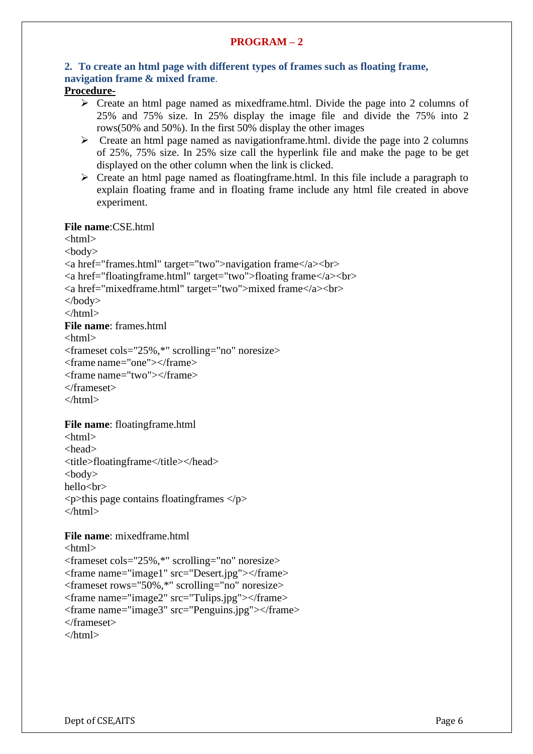#### **2. To create an html page with different types of frames such as floating frame, navigation frame & mixed frame**.

#### **Procedure-**

- $\triangleright$  Create an html page named as mixedframe.html. Divide the page into 2 columns of 25% and 75% size. In 25% display the image file and divide the 75% into 2 rows(50% and 50%). In the first 50% display the other images
- $\triangleright$  Create an html page named as navigation frame.html. divide the page into 2 columns of 25%, 75% size. In 25% size call the hyperlink file and make the page to be get displayed on the other column when the link is clicked.
- $\triangleright$  Create an html page named as floatingframe.html. In this file include a paragraph to explain floating frame and in floating frame include any html file created in above experiment.

#### **File name**:CSE.html

```
<html>
<body>
<a href="frames.html" target="two">navigation frame</a><br>
<a href="floatingframe.html" target="two">floating frame</a><br>
<a href="mixedframe.html" target="two">mixed frame</a><br>
</body>
</html>
File name: frames.html
<html>
<frameset cols="25%,*" scrolling="no" noresize>
<frame name="one"></frame>
<frame name="two"></frame>
</frameset>
</html>
```
**File name**: floatingframe.html  $\langle$ html $>$ <head> <title>floatingframe</title></head> <body> hello<br>

 $\langle p \rangle$ this page contains floatingframes  $\langle p \rangle$ </html>

#### **File name**: mixedframe.html

```
<html>
<frameset cols="25%,*" scrolling="no" noresize>
<frame name="image1" src="Desert.jpg"></frame>
<frameset rows="50%,*" scrolling="no" noresize>
<frame name="image2" src="Tulips.jpg"></frame>
<frame name="image3" src="Penguins.jpg"></frame>
</frameset>
</html>
```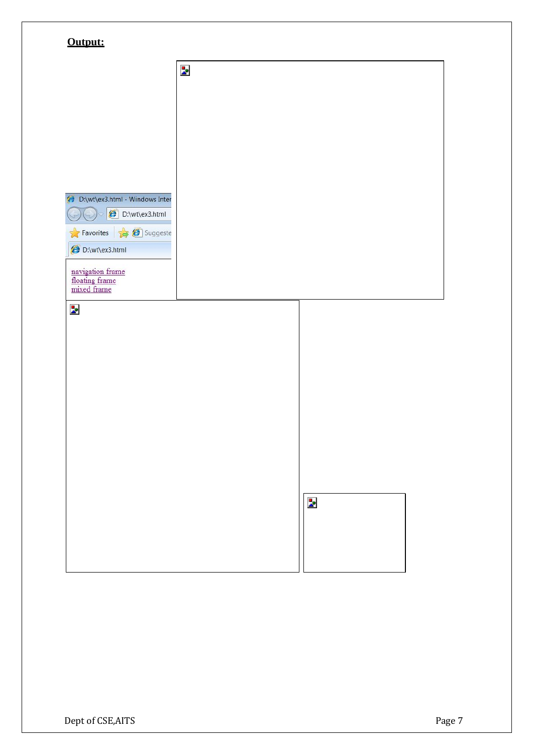|                                                                          | þ. |    |  |
|--------------------------------------------------------------------------|----|----|--|
|                                                                          |    |    |  |
|                                                                          |    |    |  |
| D:\wt\ex3.html - Windows Inter<br>D:\wt\ex3.html<br>Favorites   Suggeste |    |    |  |
| D:\wt\ex3.html<br>navigation frame<br>floating frame                     |    |    |  |
| mixed frame<br>$\overline{\mathbf{z}}$                                   |    |    |  |
|                                                                          |    |    |  |
|                                                                          |    |    |  |
|                                                                          |    |    |  |
|                                                                          |    |    |  |
|                                                                          |    | þ. |  |
|                                                                          |    |    |  |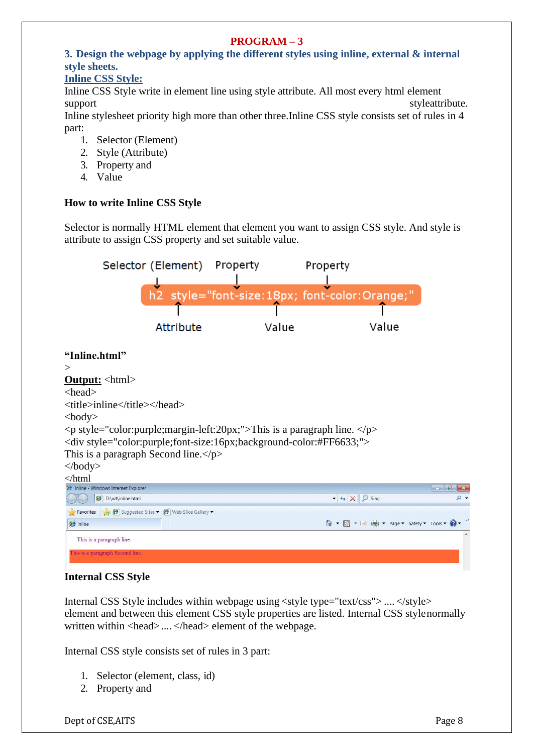# **3. Design the webpage by applying the different styles using inline, external & internal style sheets.**

### **Inline CSS Style:**

Inline CSS Style write in element line using style attribute. All most every html element support styleattribute.

Inline stylesheet priority high more than other three.Inline CSS style consists set of rules in 4 part:

- 1. Selector (Element)
- 2. Style (Attribute)
- 3. Property and
- 4. Value

### **How to write Inline CSS Style**

Selector is normally HTML element that element you want to assign CSS style. And style is attribute to assign CSS property and set suitable value.



# **Internal CSS Style**

Internal CSS Style includes within webpage using <style type="text/css"> .... </style> element and between this element CSS style properties are listed. Internal CSS stylenormally written within <head>.... </head> element of the webpage.

Internal CSS style consists set of rules in 3 part:

- 1. Selector (element, class, id)
- 2. Property and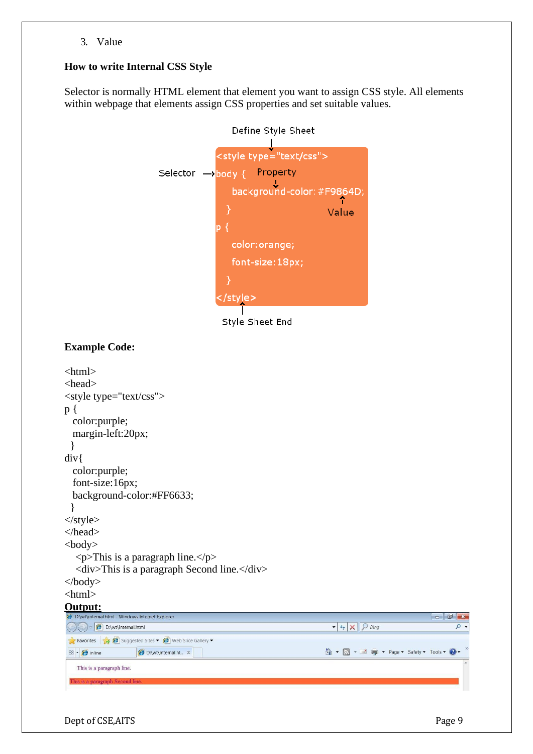3. Value

#### **How to write Internal CSS Style**

Selector is normally HTML element that element you want to assign CSS style. All elements within webpage that elements assign CSS properties and set suitable values.



Style Sheet End

#### **Example Code:**

```
<html>
<head>
<style type="text/css"> 
p {
  color:purple; 
  margin-left:20px;
  }
div{
   color:purple; 
  font-size:16px;
   background-color:#FF6633;
  }
\langlestyle\rangle</head>
<body>
    \langle p\rangleThis is a paragraph line.\langle p\rangle<div>This is a paragraph Second line.</div>
</body>
<html>
Output:<br>@ D:\wt\internal.html - Windows Internet Explorer
                                                                                                                                           R = \frac{1}{2}D:\wt\internal.html
                                                                                                     \blacktriangleright \blacktriangleright \blacktriangleright \blacktriangleright \blacktriangleright \blacktriangleright \text{Bing}\overline{\mathsf{a}}Favorites Suggested Sites . (2) Web Slice Gallery .
                                                                                                  A ▼ M ▼ E A → Page ▼ Safety ▼ Tools ▼ O ▼
                          D:\wt\internal.ht... X
 88 -  inline
    This is a paragraph line.
```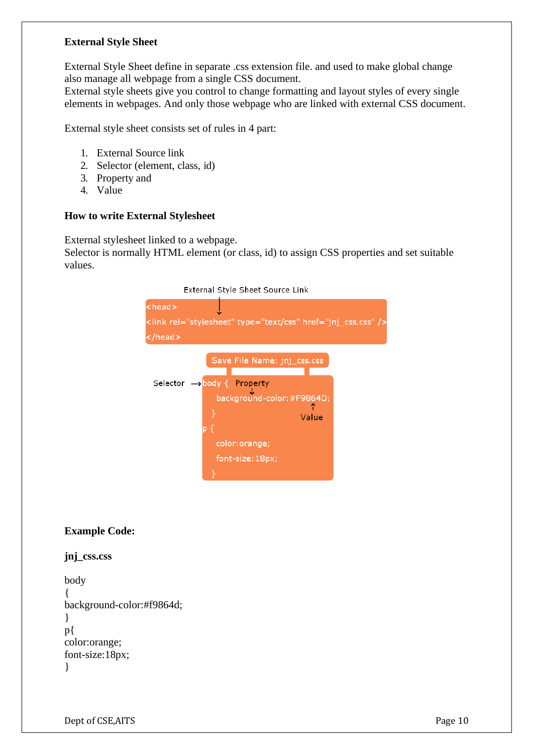#### **External Style Sheet**

External Style Sheet define in separate .css extension file. and used to make global change also manage all webpage from a single CSS document.

External style sheets give you control to change formatting and layout styles of every single elements in webpages. And only those webpage who are linked with external CSS document.

External style sheet consists set of rules in 4 part:

- 1. External Source link
- 2. Selector (element, class, id)
- 3. Property and
- 4. Value

#### **How to write External Stylesheet**

External stylesheet linked to a webpage.

Selector is normally HTML element (or class, id) to assign CSS properties and set suitable values.



#### **Example Code:**

#### **jnj\_css.css**

```
body
\left\{ \right.background-color:#f9864d;
}
p{ 
color:orange; 
font-size:18px;
}
```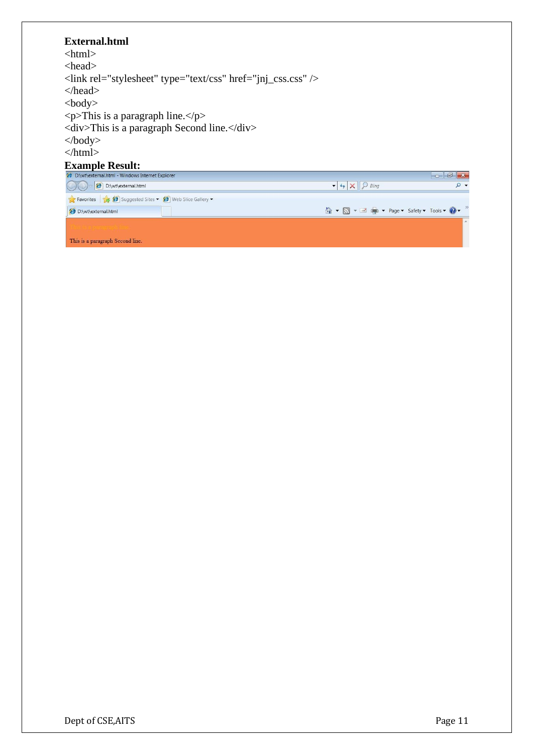#### **External.html**

 $\langle$ html $>$ <head> <link rel="stylesheet" type="text/css" href="jnj\_css.css" /> </head> <body>  $\langle p\rangle$ This is a paragraph line. $\langle p\rangle$  $\langle$ div>This is a paragraph Second line. $\langle$ /div> </body> </html>

# **Example Result:**

| D:\wt\external.html - Windows Internet Explorer         |                                                                                                                                                                                                                                                                                                                                                                                                                                                                                       | $52 -$ |
|---------------------------------------------------------|---------------------------------------------------------------------------------------------------------------------------------------------------------------------------------------------------------------------------------------------------------------------------------------------------------------------------------------------------------------------------------------------------------------------------------------------------------------------------------------|--------|
| $\textcircled{c}$ $\textcircled{e}$ D:\wt\external.html | $\bullet$ $\bullet$ $\times$ $\circ$ Bing                                                                                                                                                                                                                                                                                                                                                                                                                                             |        |
| Favorites Suggested Sites v & Web Slice Gallery v       |                                                                                                                                                                                                                                                                                                                                                                                                                                                                                       |        |
| D:\wt\external.html                                     | $\bullet$ $\bullet$ $\blacksquare$ $\bullet$ $\blacksquare$ $\bullet$ $\blacksquare$ $\bullet$ $\blacksquare$ $\bullet$ $\blacksquare$ $\bullet$ $\blacksquare$ $\blacksquare$ $\blacksquare$ $\blacksquare$ $\blacksquare$ $\blacksquare$ $\blacksquare$ $\blacksquare$ $\blacksquare$ $\blacksquare$ $\blacksquare$ $\blacksquare$ $\blacksquare$ $\blacksquare$ $\blacksquare$ $\blacksquare$ $\blacksquare$ $\blacksquare$ $\blacksquare$ $\blacksquare$ $\blacksquare$ $\blacks$ |        |
|                                                         |                                                                                                                                                                                                                                                                                                                                                                                                                                                                                       |        |
| This is a paragraph Second line.                        |                                                                                                                                                                                                                                                                                                                                                                                                                                                                                       |        |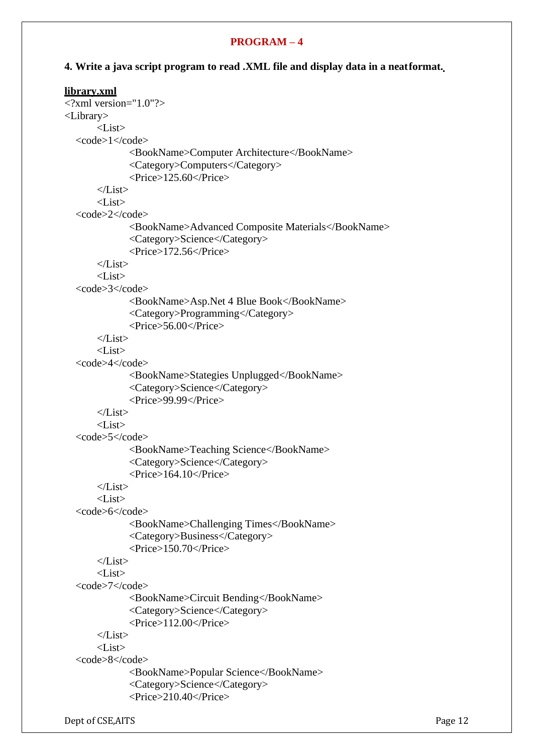#### **4. Write a java script program to read .XML file and display data in a neatformat.**

#### **library.xml**

```
\langle 2xml version="1.0"?>
<Library>
        <List>
  &lt; \text{code}>1</math><BookName>Computer Architecture</BookName>
                <Category>Computers</Category>
                \langle Price>125.60\langle Price>\langleList\rangle<List>
  <code>2</code>
                <BookName>Advanced Composite Materials</BookName>
                <Category>Science</Category>
                \langle \text{Price}\rangle172.56\langle \text{Price}\rangle</List>
        <List>
  <code>3</code>
                <BookName>Asp.Net 4 Blue Book</BookName>
                <Category>Programming</Category>
                <Price>56.00</Price>
        \langleList\rangle<List>
  <code>4</code>
                <BookName>Stategies Unplugged</BookName>
                <Category>Science</Category>
                \langle \text{Price}\rangle99.99\langle \text{Price}\rangle\langleList\rangle<List>
  <code>5</code>
                <BookName>Teaching Science</BookName>
                <Category>Science</Category>
                \langle\text{Price}\rangle164.10\langle\text{Price}\rangle\langleList\rangle<List>
  <code>6</code>
                <BookName>Challenging Times</BookName>
                <Category>Business</Category>
                <Price>150.70</Price>
        \langleList\rangle<List>
  <code>7</code>
                <BookName>Circuit Bending</BookName>
                <Category>Science</Category>
                \langle Price>112.00</Price>\langleList\rangle<List>
  <code>8</code>
                <BookName>Popular Science</BookName>
                <Category>Science</Category>
                \langle\text{Price}\rangle210.40\langle\text{Price}\rangle
```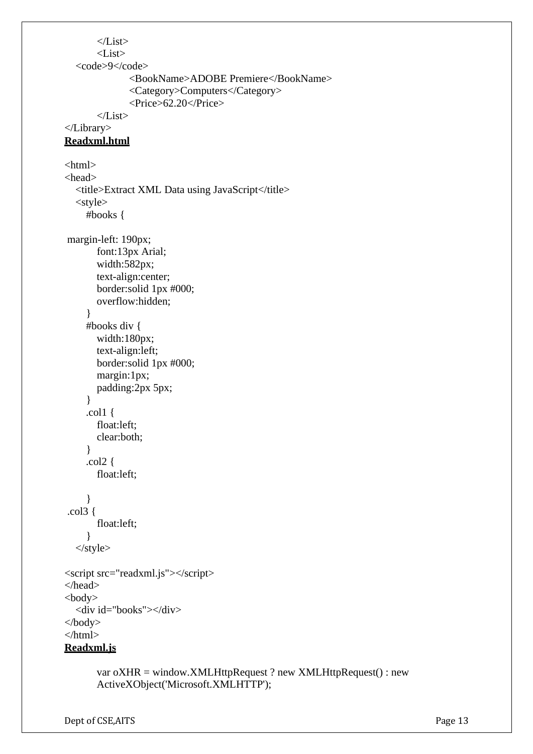```
</List>
       <List><code>9</code>
              <BookName>ADOBE Premiere</BookName>
              <Category>Computers</Category>
              <Price>62.20</Price>
       \langleList\rangle</Library>
Readxml.html
\langlehtml><head>
  <title>Extract XML Data using JavaScript</title>
  <style>
    #books {
margin-left: 190px;
       font:13px Arial; 
       width:582px; 
       text-align:center;
       border:solid 1px #000; 
       overflow:hidden;
     }
    #books div { 
       width:180px; 
       text-align:left;
       border:solid 1px #000; 
       margin:1px; 
       padding:2px 5px;
    }
    .col1 {
       float:left; 
       clear:both;
    }
    .col2 \{float:left;
    }
.col3 {
     }
       float:left;
  </style>
<script src="readxml.js"></script>
</head>
<body><div id="books"></div>
</body>
</html>
Readxml.js
       var oXHR = window.XMLHttpRequest ? new XMLHttpRequest() : new
```
ActiveXObject('Microsoft.XMLHTTP');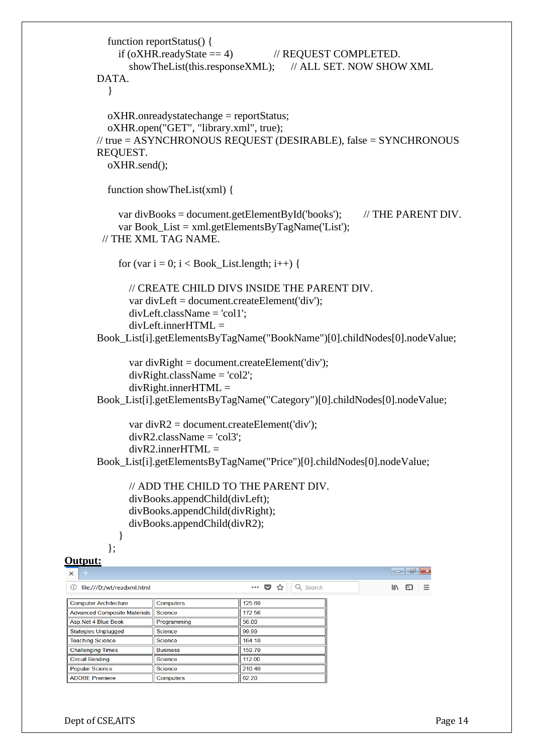```
function reportStatus() {<br>if (oXHR.readyState == 4)
                                                               // REQUEST COMPLETED.
                   showTheList(this.responseXML); // ALL SET. NOW SHOW XML
         DATA.
             }
             oXHR.onreadystatechange = reportStatus; 
             oXHR.open("GET", "library.xml", true);
         \frac{1}{10} true = ASYNCHRONOUS REQUEST (DESIRABLE), false = SYNCHRONOUS
         REQUEST.
             oXHR.send();
             function showTheList(xml) {
                var divBooks = document.getElementById('books'); \frac{1}{2} // THE PARENT DIV.
                var Book_List = xml.getElementsByTagName('List');
           // THE XML TAG NAME.
                for (var i = 0; i < Book List.length; i++) {
                   // CREATE CHILD DIVS INSIDE THE PARENT DIV.
                   var divLeft = document.createElement('div'); 
                   divLeft.className = 'col1'; 
                   divLeft.innerHTML =
         Book_List[i].getElementsByTagName("BookName")[0].childNodes[0].nodeValue;
                   var divRight = document.createElement('div'); 
                   divRight.className = 'col2'; 
                   divRight.innerHTML =Book_List[i].getElementsByTagName("Category")[0].childNodes[0].nodeValue;
                   var divR2 = document.createElement('div');
                   divR2.className = 'col3';divR2.innerHTML =Book_List[i].getElementsByTagName("Price")[0].childNodes[0].nodeValue;
                   // ADD THE CHILD TO THE PARENT DIV.
                   divBooks.appendChild(divLeft); 
                   divBooks.appendChild(divRight); 
                   divBooks.appendChild(divR2);
                }
             };Output:
                                                                                                  \begin{array}{|c|c|c|c|c|}\hline \multicolumn{1}{|c|}{\mathbf{1}} & \multicolumn{1}{|c|}{\mathbf{2}} & \multicolumn{1}{|c|}{\mathbf{3}}\hline \multicolumn{1}{|c|}{\mathbf{4}} & \multicolumn{1}{|c|}{\mathbf{5}}\hline \multicolumn{1}{|c|}{\mathbf{6}} & \multicolumn{1}{|c|}{\mathbf{7}} & \multicolumn{1}{|c|}{\mathbf{8}}\hline \multicolumn{1}{|c|}{\mathbf{6}} & \multicolumn{1}{|c|}{\mathbf{7}} & \multicolumn{1}{|c|}{\mathbf{… ◎ ☆
                                                                     Q Search
                                                                                                  \mathbb{I} \cap \mathbb{I} \mathbb{I} \cap \mathbb{I}(i) file:///D:/wt/readxml.html
 Computer Architecture
                           Computers
                                                      12560172.56Advanced Composite Materials
                           Science
 Asp.Net 4 Blue Book
                                                      56.00
                           Programming
 Stategies Unplugged
                            Science
                                                      99.99
  Teaching Science
                           Science
                                                      164.10
                                                      150.70
 Challenging Times
                           Business
  Circuit Bending
                                                      112.00
                            Science
 Popular Science
                                                      210.40
                            Science
                                                      62.20
 ADOBE Premiere
                           Computers
```
 $\times$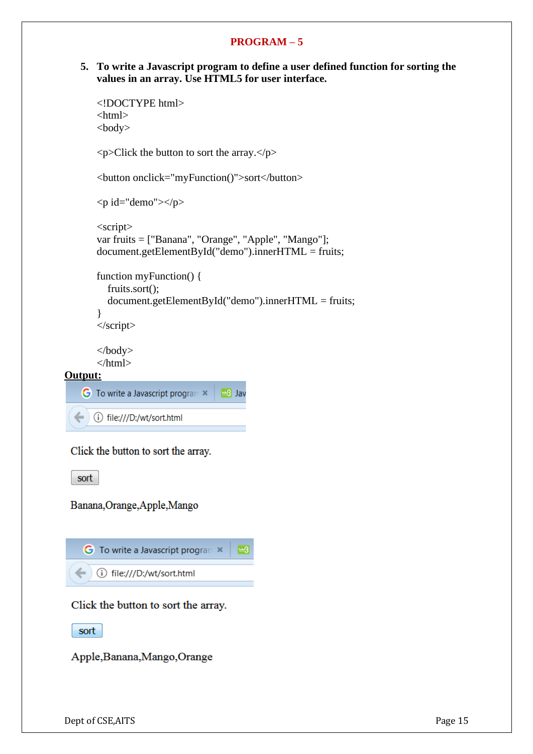#### **5. To write a Javascript program to define a user defined function for sorting the values in an array. Use HTML5 for user interface.**

```
<!DOCTYPE html>
       <html>
       <body>
        \langle p>Click the button to sort the array.\langle p \rangle<button onclick="myFunction()">sort</button>
       \langle p \rangleid="demo">\langle p \rangle<script>
       var fruits = ["Banana", "Orange", "Apple", "Mango"]; 
       document.getElementById("demo").innerHTML = fruits;
       function myFunction() { 
          fruits.sort();
          document.getElementById("demo").innerHTML = fruits;
        }
       </script>
       </body>
       </html>
Output:G To write a Javascript program *us Jav
```
Click the button to sort the array.

 $\leftarrow$  (i) file:///D:/wt/sort.html

sort

Banana, Orange, Apple, Mango



Click the button to sort the array.

sort

Apple, Banana, Mango, Orange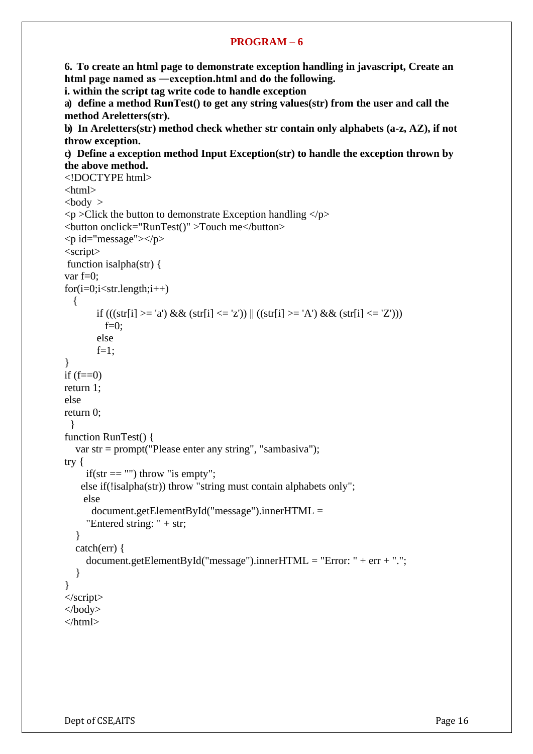**6. To create an html page to demonstrate exception handling in javascript, Create an html page named as ―exception.html and do the following. i. within the script tag write code to handle exception**

**a) define a method RunTest() to get any string values(str) from the user and call the method Areletters(str).**

**b) In Areletters(str) method check whether str contain only alphabets (a-z, AZ), if not throw exception.**

```
c) Define a exception method Input Exception(str) to handle the exception thrown by 
the above method.
```

```
<!DOCTYPE html>
<html>
\text{<body} >
\langle p \rangle >Click the button to demonstrate Exception handling \langle p \rangle<button onclick="RunTest()" >Touch me</button>
\langle p \rangle id="message">\langle p \rangle<script>
function isalpha(str) { 
var f=0:
for(i=0;i<str.length;i++){
        if (((\text{str}[i] > = 'a') \&amp; \&amp; (\text{str}[i] < = 'z')) || ((\text{str}[i] > = 'A') \&amp; \&amp; (\text{str}[i] < = 'Z')))f=0;
        else 
        f=1:
}
if (f == 0)return 1; 
else 
return 0;
 }
function RunTest() {
  var str = prompt("Please enter any string", "sambasiva"); 
try {
     if(str == "") throw "is empty";
    else if(!isalpha(str)) throw "string must contain alphabets only"; 
     else
       document.getElementById("message").innerHTML = 
     "Entered string: " + str;
   }
  catch(err) {
     document.getElementById("message").innerHTML = "Error: " + err + ".";
   }
}
</script>
</body>
</html>
```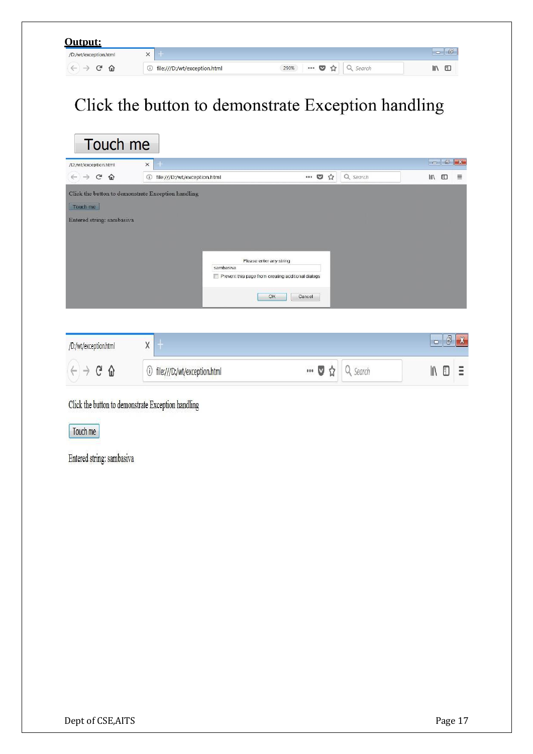| <b>Output:</b>        |                                         |                                 |        |                                |
|-----------------------|-----------------------------------------|---------------------------------|--------|--------------------------------|
| /D:/wt/exception.html | $\times$                                |                                 |        | $\sqrt{2\pi}$<br>心<br>$\equiv$ |
| ∼                     | file:///D:/wt/exception.html<br>$\odot$ | 290%<br><br>V<br>$\overline{ }$ | Search | $\Box$<br>l۱۱                  |

# Click the button to demonstrate Exception handling

| /D:/wt/exception.html                      | $+$<br>$\times$                                    |           |                                                    |   |          | $ \sigma$ $\sim$ |   |          |
|--------------------------------------------|----------------------------------------------------|-----------|----------------------------------------------------|---|----------|------------------|---|----------|
| $C$ $\Omega$<br>$\leftarrow$ $\rightarrow$ | 1 file:///D:/wt/exception.html                     |           | $\cdots$                                           | ☆ | Q Search | ll۱              | ⊕ | $\equiv$ |
|                                            | Click the button to demonstrate Exception handling |           |                                                    |   |          |                  |   |          |
| Touch me                                   |                                                    |           |                                                    |   |          |                  |   |          |
| Entered string: sambasiva                  |                                                    |           |                                                    |   |          |                  |   |          |
|                                            |                                                    |           |                                                    |   |          |                  |   |          |
|                                            |                                                    |           |                                                    |   |          |                  |   |          |
|                                            |                                                    |           |                                                    |   |          |                  |   |          |
|                                            |                                                    |           | Please enter any string                            |   |          |                  |   |          |
|                                            |                                                    | sambasiya |                                                    |   |          |                  |   |          |
|                                            |                                                    |           | Prevent this page from creating additional dialogs |   |          |                  |   |          |
|                                            |                                                    |           | OK<br>Cancel                                       |   |          |                  |   |          |



Click the button to demonstrate Exception handling

Touch me

Entered string: sambasiva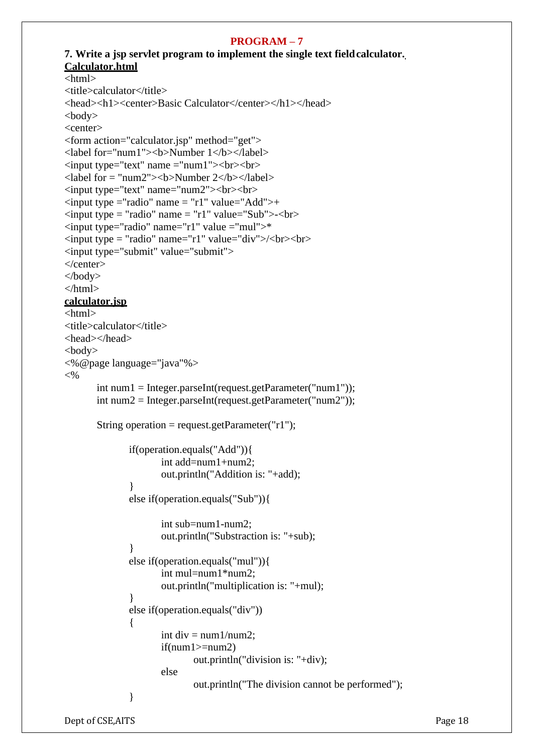```
7. Write a jsp servlet program to implement the single text fieldcalculator.
Calculator.html
<html>
<title>calculator</title>
<head><h1><center>Basic Calculator</center></h1></head>
<body><center>
<form action="calculator.jsp" method="get">
<label for="num1"><br/>b>Number 1</b>>
\langleinput type="text" name ="num1">\langlebr>\langlebr>
\langlelabel for = "num2">\langleb>Number 2\langleb>\langlelabel><input type="text" name="num2"><br><br>
\langleinput type ="radio" name = "r1" value="Add">+
\langle \text{input type} = \text{"radio" name} = \text{''r1" value} = \text{``Sub"}> \langle \text{br>} \rangle<input type="radio" name="r1" value ="mul">*
```

```
\langle \text{input type} = \text{"radio" name} = \text{"r1" value} = \text{`div"}\rangle \langle \text{`br}\rangle \langle \text{`br}\rangle
```
<input type="submit" value="submit">

```
\langle/center\rangle</body>
```

```
</html>
```
#### **calculator.jsp**

```
\langlehtml>
```

```
<title>calculator</title>
```

```
<head></head>
```

```
<body>
```

```
<%@page language="java"%>
```

```
<\!\%
```

```
int num1 = Integer.parseInt(request.getParameter("num1")); 
int num2 = Integer.parseInt(request.getParameter("num2"));
```

```
String operation = request.getParameter("r1");
```

```
if(operation.equals("Add")){
       int add=num1+num2; 
       out.println("Addition is: "+add);
}
```

```
else if(operation.equals("Sub")){
```

```
int sub=num1-num2; 
out.println("Substraction is: "+sub);
```

```
else if(operation.equals("mul")){ 
       int mul=num1*num2;
```

```
out.println("multiplication is: "+mul);
```
}

}

{

}

```
else if(operation.equals("div"))
```

```
int div = num1/num2;
if(num1>=num2)
       out.println("division is: "+div);
```

```
else
```

```
out.println("The division cannot be performed");
```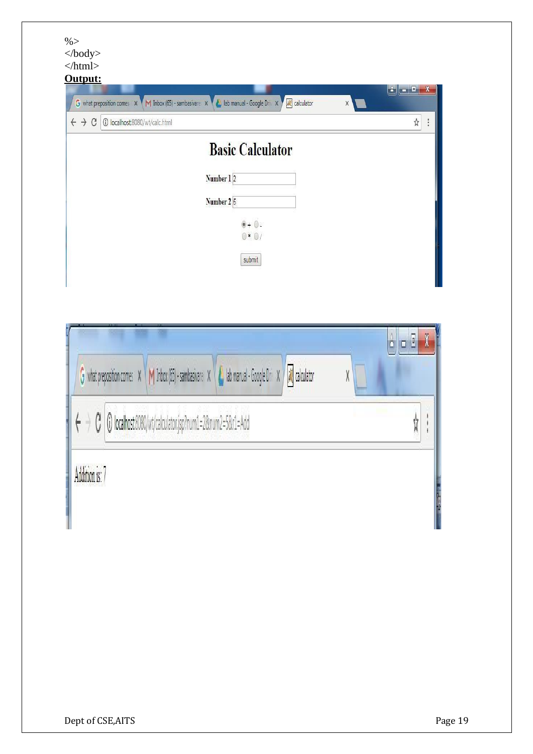$\%>$ </body> </html>

# **Output:**

| C<br>1 localhost:8080/wt/calc.html<br>$\leftrightarrow$ |                         | ☆ |
|---------------------------------------------------------|-------------------------|---|
|                                                         | <b>Basic Calculator</b> |   |
|                                                         | Number 12               |   |
|                                                         | Number 2 5              |   |
|                                                         | $0+0$ .<br>$0 * 01$     |   |
|                                                         | submit                  |   |

| G what preposition comes $x \in M$ Inbox (65) - sambasivare $x \in M$ lab manual - Google Dri $x \setminus \overline{M}$ calculator |  |
|-------------------------------------------------------------------------------------------------------------------------------------|--|
| D localhost:8080/wt/calculator.jsp?num1=2&num2=5&r1=Add                                                                             |  |
| Addition is: 7                                                                                                                      |  |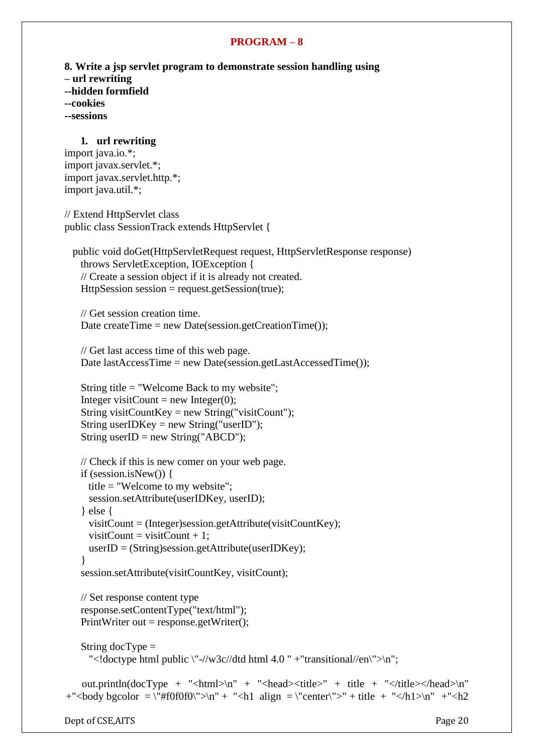```
8. Write a jsp servlet program to demonstrate session handling using
– url rewriting
--hidden formfield
--cookies
--sessions
   1. url rewriting 
import java.io.*; 
import javax.servlet.*;
import javax.servlet.http.*; 
import java.util.*;
// Extend HttpServlet class
public class SessionTrack extends HttpServlet {
```
public void doGet(HttpServletRequest request, HttpServletResponse response) throws ServletException, IOException { // Create a session object if it is already not created. HttpSession session = request.getSession(true);

// Get session creation time. Date createTime = new Date(session.getCreationTime());

// Get last access time of this web page. Date lastAccessTime = new Date(session.getLastAccessedTime());

```
String title = "Welcome Back to my website"; 
Integer visitCount = new Integer(0);
String visitCountKey = new String("visitCount");
String userIDKey = new String("userID");
String userID = new String("ABCD");
```

```
// Check if this is new comer on your web page. 
   if (session.isNew()) {
     title = "Welcome to my website"; 
     session.setAttribute(userIDKey, userID);
   } else {
     visitCount = (Integer)session.getAttribute(visitCountKey); 
     visitCount = visitCount + 1;
     userID = (String) session.getAttribute(userIDKey);}
   session.setAttribute(visitCountKey, visitCount);
   // Set response content type 
   response.setContentType("text/html"); 
   PrintWriter out = response.getWriter();
   String docType ="<!doctype html public \"-//w3c//dtd html 4.0 " +"transitional//en\">\n";
   out.println(docType + "<html>\n" + "<head><title>" + title + "</title></head>\n"
+"<br/>body bgcolor = \lvert"#f0f0f0\">\n" + "<h1 align = \"center\">" + title + "</h1>\n" +"<h2
```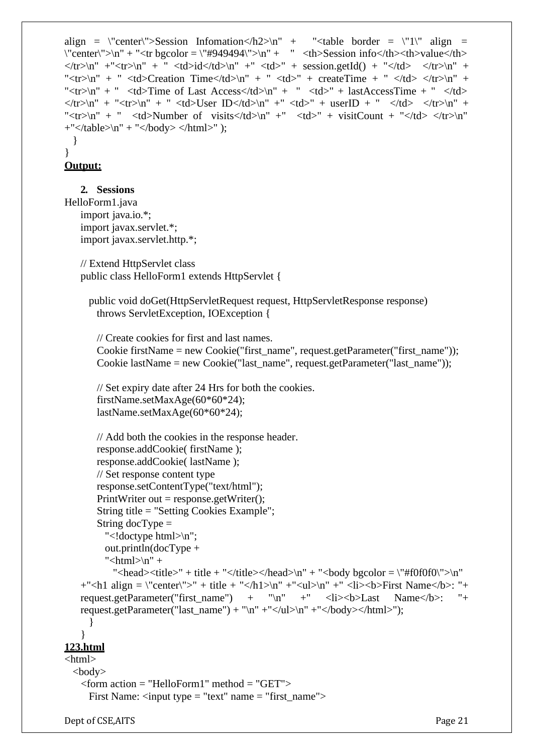```
align = \text{``center''}>Session Information</math> <math>\text{~}n" + \text{''-table border} = \text{''1}'' align =\Upsilon = \"center\">\n" + "<tr bgcolor = \"#949494\">\n" + " <th>Session info</th>>th>value</th>
\langle t \rangle \langle n'' + \langle t \rangle \langle n'' + \langle t \rangle \langle n'' + \langle t \rangle \langle t \rangle \langle t \rangle \langle t \rangle) + \langle t \rangle \langle t \rangle \langle t \rangle + session.getId() + \langle t \rangle \langle t \rangle \langle t \rangle \langle n'' + \langle t \rangle \langle t \rangle"<tr>\ln" + " <td>Creation Time</td>\ln" + " <td>" + createTime + " </td> </tr> </tr>\ln" +
"<tr>\ln" + " <td>Time of Last Access</td>\ln" + " <td>" + lastAccessTime + " </td>
\langle tt\ranglen" + "\langle tr>h" + "\langle td>User ID\langle td>h" + "\langle td>" + userID + "\langle td>\langle tr>h" +
" \langle tr \rangle \langle n'' + " <td>Number of visits \langle tr \rangle \langle n'' + " <td>" + visitCount + "\langle tr \rangle \langle n''+"</table>\n" + "</body> </html>" );
  }
}
```
# **Output:**

### **2. Sessions**

```
HelloForm1.java 
   import java.io.*;
   import javax.servlet.*; 
   import javax.servlet.http.*;
```

```
// Extend HttpServlet class
public class HelloForm1 extends HttpServlet {
```

```
public void doGet(HttpServletRequest request, HttpServletResponse response) 
 throws ServletException, IOException {
```

```
// Create cookies for first and last names.
Cookie firstName = new Cookie("first_name", request.getParameter("first_name")); 
Cookie lastName = new Cookie("last_name", request.getParameter("last_name"));
```

```
// Set expiry date after 24 Hrs for both the cookies. 
firstName.setMaxAge(60*60*24); 
lastName.setMaxAge(60*60*24);
```

```
// Add both the cookies in the response header. 
       response.addCookie( firstName ); 
       response.addCookie( lastName );
       // Set response content type 
       response.setContentType("text/html"); 
       PrintWriter out = response.getWriter();
       String title = "Setting Cookies Example"; 
       String docType ="<!doctype html>\n"; 
         out.println(docType + 
         "\text{thm}\text{cm}" +
           "<head><title>" + title + "</title></head>\n" + "<br/>\body bgcolor = \"#f0f0f0\">\n"
   +"<h1 align = \"center\">" + title + "</h1>\n" +" <ul>\n" +" <li><br/>\b>First Name</b>: "+
   request.getParameter("first_name") + "\n" +" <li> <br/>b>Last Name</b>:
   request.getParameter("last_name") + "\n" +"</ul>\n" +"</body></html>");
     }
   }
123.html
<html>
 <body>
   \le form action = "HelloForm1" method = "GET">
     First Name: <input type = "text" name = "first_name">
```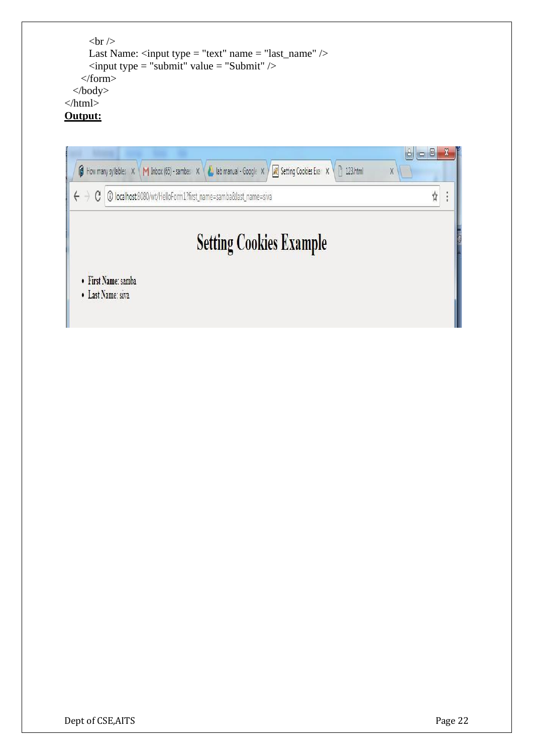```
<br>2<sub>r</sub> <br><math>\rightarrow</math>Last Name: <input type = "text" name = "last_name" />
       \leinput type = "submit" value = "Submit" />
    \langleform></body>
\langlehtml>Output:
```

|                     | Setting Cookies Exar X<br><b>门 123.html</b><br><b>6</b> How many syllables $x \in M$ Inbox (65) - sambas $x \in M$ lab manual - Google X<br>X | $\vert \Box \vert$ |
|---------------------|-----------------------------------------------------------------------------------------------------------------------------------------------|--------------------|
| C                   | W localhost:8080/wt/HelloForm1?first_name=samba&last_name=siva                                                                                |                    |
|                     |                                                                                                                                               |                    |
|                     |                                                                                                                                               |                    |
| • First Name: samba | <b>Setting Cookies Example</b>                                                                                                                |                    |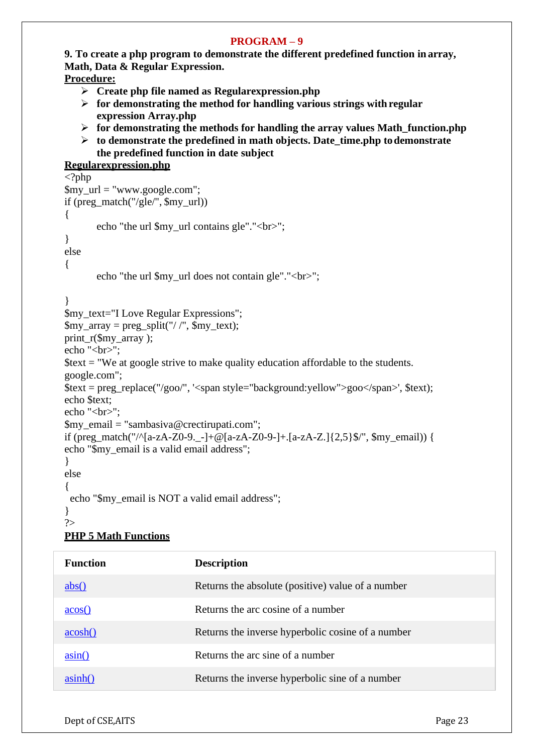**9. To create a php program to demonstrate the different predefined function in array, Math, Data & Regular Expression. Procedure:**

- ➢ **Create php file named as Regularexpression.php**
- ➢ **for demonstrating the method for handling various strings with regular expression Array.php**
- ➢ **for demonstrating the methods for handling the array values Math\_function.php**
- $\triangleright$  to demonstrate the predefined in math objects. Date time.php to demonstrate **the predefined function in date subject**

# **Regularexpression.php**

```
\langle?php
$my_url = "www.google.com"; 
if (preg_match("/gle/", $my_url))
{
}
else
{
        echo "the url $my_url contains gle"."<br/> \langlebr>";
        echo "the url $my_url does not contain gle"."<br/>show";
}
$my_text="I Love Regular Expressions";
\text{Im}y_{\text{array}} = \text{preg\_split}("/ \, \text{''}, \, \text{Smy\_text)};print r(\text{Smy} \text{ array});echo "<br/> >";
$text = "We at google strive to make quality education affordable to the students. 
google.com";
$text = preg_replace("/goo/", '<span style="background:yellow">goo</span>', $text); 
echo $text;
echo "<br/> ">:
$my_email = "sambasiva@crectirupati.com";
if (preg_match("/^[a-zA-Z0-9. -]+@[a-zA-Z0-9-]+.[a-zA-Z.]{2,5}$/", $my_email)) {
echo "$my_email is a valid email address";
}
else
{
 echo "$my_email is NOT a valid email address";
}
?>
```
# **PHP 5 Math Functions**

| <b>Function</b> | <b>Description</b>                                |
|-----------------|---------------------------------------------------|
| abs()           | Returns the absolute (positive) value of a number |
| acos()          | Returns the arc cosine of a number                |
| acosh()         | Returns the inverse hyperbolic cosine of a number |
| asin()          | Returns the arc sine of a number                  |
| asinh()         | Returns the inverse hyperbolic sine of a number   |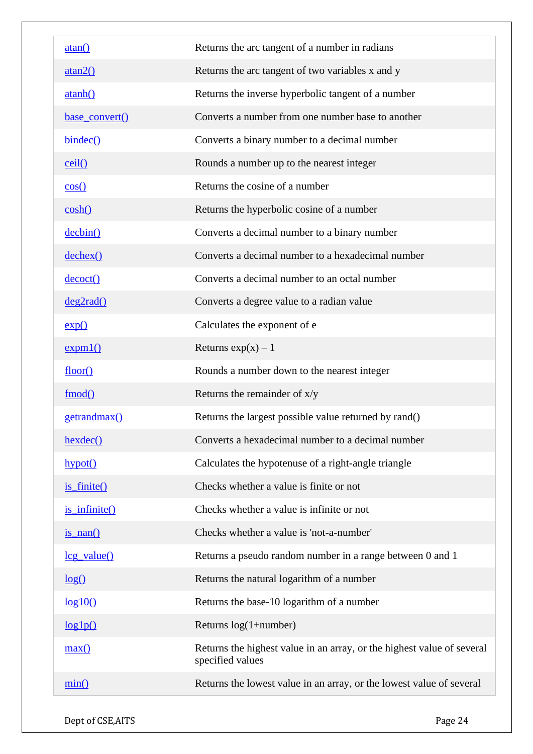| Returns the arc tangent of a number in radians<br>atan()<br>Returns the arc tangent of two variables x and y<br>atan2()<br>Returns the inverse hyperbolic tangent of a number<br>atanh()<br>Converts a number from one number base to another<br>base_convert()<br>Converts a binary number to a decimal number<br>bindec()<br>Rounds a number up to the nearest integer<br>ceil()<br>Returns the cosine of a number<br>cos()<br>Returns the hyperbolic cosine of a number<br>$\cosh()$<br>Converts a decimal number to a binary number<br>decbin()<br>Converts a decimal number to a hexadecimal number<br>dechex()<br>Converts a decimal number to an octal number<br>decoct()<br>Converts a degree value to a radian value<br>deg2rad()<br>Calculates the exponent of e<br>exp()<br>Returns $exp(x) - 1$<br>expm1()<br>floor()<br>Rounds a number down to the nearest integer<br>Returns the remainder of x/y<br>fmod()<br>getrandmax()<br>Returns the largest possible value returned by rand()<br>Converts a hexadecimal number to a decimal number<br>hexdec()<br>Calculates the hypotenuse of a right-angle triangle<br>hypot()<br>Checks whether a value is finite or not<br><u>is finite()</u><br>Checks whether a value is infinite or not<br>is_infinite()<br>Checks whether a value is 'not-a-number'<br>$is$ $nan()$<br>Returns a pseudo random number in a range between 0 and 1<br>$leg$ value $()$<br>Returns the natural logarithm of a number<br>log()<br>Returns the base-10 logarithm of a number<br>log10()<br>Returns log(1+number)<br>log1p()<br>Returns the highest value in an array, or the highest value of several<br>max()<br>specified values<br>Returns the lowest value in an array, or the lowest value of several<br>min() |  |
|--------------------------------------------------------------------------------------------------------------------------------------------------------------------------------------------------------------------------------------------------------------------------------------------------------------------------------------------------------------------------------------------------------------------------------------------------------------------------------------------------------------------------------------------------------------------------------------------------------------------------------------------------------------------------------------------------------------------------------------------------------------------------------------------------------------------------------------------------------------------------------------------------------------------------------------------------------------------------------------------------------------------------------------------------------------------------------------------------------------------------------------------------------------------------------------------------------------------------------------------------------------------------------------------------------------------------------------------------------------------------------------------------------------------------------------------------------------------------------------------------------------------------------------------------------------------------------------------------------------------------------------------------------------------------------------------------------------------------------------------------------------|--|
|                                                                                                                                                                                                                                                                                                                                                                                                                                                                                                                                                                                                                                                                                                                                                                                                                                                                                                                                                                                                                                                                                                                                                                                                                                                                                                                                                                                                                                                                                                                                                                                                                                                                                                                                                              |  |
|                                                                                                                                                                                                                                                                                                                                                                                                                                                                                                                                                                                                                                                                                                                                                                                                                                                                                                                                                                                                                                                                                                                                                                                                                                                                                                                                                                                                                                                                                                                                                                                                                                                                                                                                                              |  |
|                                                                                                                                                                                                                                                                                                                                                                                                                                                                                                                                                                                                                                                                                                                                                                                                                                                                                                                                                                                                                                                                                                                                                                                                                                                                                                                                                                                                                                                                                                                                                                                                                                                                                                                                                              |  |
|                                                                                                                                                                                                                                                                                                                                                                                                                                                                                                                                                                                                                                                                                                                                                                                                                                                                                                                                                                                                                                                                                                                                                                                                                                                                                                                                                                                                                                                                                                                                                                                                                                                                                                                                                              |  |
|                                                                                                                                                                                                                                                                                                                                                                                                                                                                                                                                                                                                                                                                                                                                                                                                                                                                                                                                                                                                                                                                                                                                                                                                                                                                                                                                                                                                                                                                                                                                                                                                                                                                                                                                                              |  |
|                                                                                                                                                                                                                                                                                                                                                                                                                                                                                                                                                                                                                                                                                                                                                                                                                                                                                                                                                                                                                                                                                                                                                                                                                                                                                                                                                                                                                                                                                                                                                                                                                                                                                                                                                              |  |
|                                                                                                                                                                                                                                                                                                                                                                                                                                                                                                                                                                                                                                                                                                                                                                                                                                                                                                                                                                                                                                                                                                                                                                                                                                                                                                                                                                                                                                                                                                                                                                                                                                                                                                                                                              |  |
|                                                                                                                                                                                                                                                                                                                                                                                                                                                                                                                                                                                                                                                                                                                                                                                                                                                                                                                                                                                                                                                                                                                                                                                                                                                                                                                                                                                                                                                                                                                                                                                                                                                                                                                                                              |  |
|                                                                                                                                                                                                                                                                                                                                                                                                                                                                                                                                                                                                                                                                                                                                                                                                                                                                                                                                                                                                                                                                                                                                                                                                                                                                                                                                                                                                                                                                                                                                                                                                                                                                                                                                                              |  |
|                                                                                                                                                                                                                                                                                                                                                                                                                                                                                                                                                                                                                                                                                                                                                                                                                                                                                                                                                                                                                                                                                                                                                                                                                                                                                                                                                                                                                                                                                                                                                                                                                                                                                                                                                              |  |
|                                                                                                                                                                                                                                                                                                                                                                                                                                                                                                                                                                                                                                                                                                                                                                                                                                                                                                                                                                                                                                                                                                                                                                                                                                                                                                                                                                                                                                                                                                                                                                                                                                                                                                                                                              |  |
|                                                                                                                                                                                                                                                                                                                                                                                                                                                                                                                                                                                                                                                                                                                                                                                                                                                                                                                                                                                                                                                                                                                                                                                                                                                                                                                                                                                                                                                                                                                                                                                                                                                                                                                                                              |  |
|                                                                                                                                                                                                                                                                                                                                                                                                                                                                                                                                                                                                                                                                                                                                                                                                                                                                                                                                                                                                                                                                                                                                                                                                                                                                                                                                                                                                                                                                                                                                                                                                                                                                                                                                                              |  |
|                                                                                                                                                                                                                                                                                                                                                                                                                                                                                                                                                                                                                                                                                                                                                                                                                                                                                                                                                                                                                                                                                                                                                                                                                                                                                                                                                                                                                                                                                                                                                                                                                                                                                                                                                              |  |
|                                                                                                                                                                                                                                                                                                                                                                                                                                                                                                                                                                                                                                                                                                                                                                                                                                                                                                                                                                                                                                                                                                                                                                                                                                                                                                                                                                                                                                                                                                                                                                                                                                                                                                                                                              |  |
|                                                                                                                                                                                                                                                                                                                                                                                                                                                                                                                                                                                                                                                                                                                                                                                                                                                                                                                                                                                                                                                                                                                                                                                                                                                                                                                                                                                                                                                                                                                                                                                                                                                                                                                                                              |  |
|                                                                                                                                                                                                                                                                                                                                                                                                                                                                                                                                                                                                                                                                                                                                                                                                                                                                                                                                                                                                                                                                                                                                                                                                                                                                                                                                                                                                                                                                                                                                                                                                                                                                                                                                                              |  |
|                                                                                                                                                                                                                                                                                                                                                                                                                                                                                                                                                                                                                                                                                                                                                                                                                                                                                                                                                                                                                                                                                                                                                                                                                                                                                                                                                                                                                                                                                                                                                                                                                                                                                                                                                              |  |
|                                                                                                                                                                                                                                                                                                                                                                                                                                                                                                                                                                                                                                                                                                                                                                                                                                                                                                                                                                                                                                                                                                                                                                                                                                                                                                                                                                                                                                                                                                                                                                                                                                                                                                                                                              |  |
|                                                                                                                                                                                                                                                                                                                                                                                                                                                                                                                                                                                                                                                                                                                                                                                                                                                                                                                                                                                                                                                                                                                                                                                                                                                                                                                                                                                                                                                                                                                                                                                                                                                                                                                                                              |  |
|                                                                                                                                                                                                                                                                                                                                                                                                                                                                                                                                                                                                                                                                                                                                                                                                                                                                                                                                                                                                                                                                                                                                                                                                                                                                                                                                                                                                                                                                                                                                                                                                                                                                                                                                                              |  |
|                                                                                                                                                                                                                                                                                                                                                                                                                                                                                                                                                                                                                                                                                                                                                                                                                                                                                                                                                                                                                                                                                                                                                                                                                                                                                                                                                                                                                                                                                                                                                                                                                                                                                                                                                              |  |
|                                                                                                                                                                                                                                                                                                                                                                                                                                                                                                                                                                                                                                                                                                                                                                                                                                                                                                                                                                                                                                                                                                                                                                                                                                                                                                                                                                                                                                                                                                                                                                                                                                                                                                                                                              |  |
|                                                                                                                                                                                                                                                                                                                                                                                                                                                                                                                                                                                                                                                                                                                                                                                                                                                                                                                                                                                                                                                                                                                                                                                                                                                                                                                                                                                                                                                                                                                                                                                                                                                                                                                                                              |  |
|                                                                                                                                                                                                                                                                                                                                                                                                                                                                                                                                                                                                                                                                                                                                                                                                                                                                                                                                                                                                                                                                                                                                                                                                                                                                                                                                                                                                                                                                                                                                                                                                                                                                                                                                                              |  |
|                                                                                                                                                                                                                                                                                                                                                                                                                                                                                                                                                                                                                                                                                                                                                                                                                                                                                                                                                                                                                                                                                                                                                                                                                                                                                                                                                                                                                                                                                                                                                                                                                                                                                                                                                              |  |
|                                                                                                                                                                                                                                                                                                                                                                                                                                                                                                                                                                                                                                                                                                                                                                                                                                                                                                                                                                                                                                                                                                                                                                                                                                                                                                                                                                                                                                                                                                                                                                                                                                                                                                                                                              |  |
|                                                                                                                                                                                                                                                                                                                                                                                                                                                                                                                                                                                                                                                                                                                                                                                                                                                                                                                                                                                                                                                                                                                                                                                                                                                                                                                                                                                                                                                                                                                                                                                                                                                                                                                                                              |  |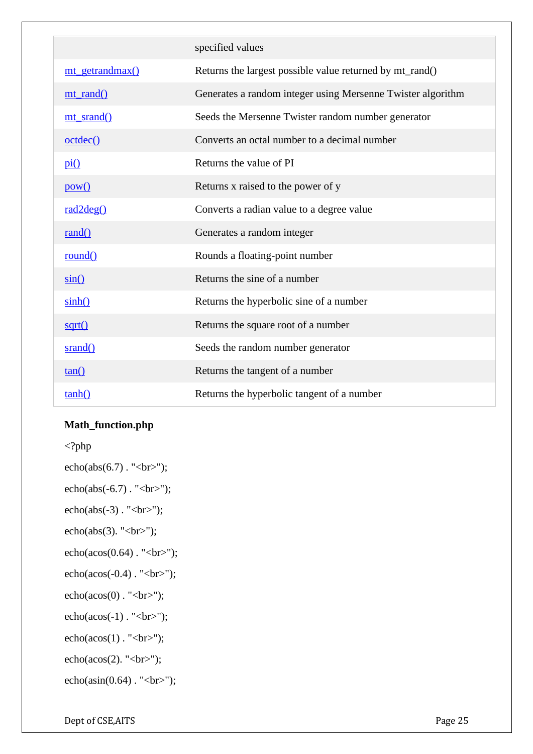|                 | specified values                                            |
|-----------------|-------------------------------------------------------------|
| mt_getrandmax() | Returns the largest possible value returned by mt_rand()    |
| $mt$ rand $()$  | Generates a random integer using Mersenne Twister algorithm |
| mt_srand()      | Seeds the Mersenne Twister random number generator          |
| octdec()        | Converts an octal number to a decimal number                |
| $\overline{pi}$ | Returns the value of PI                                     |
| pow()           | Returns x raised to the power of y                          |
| rad2deg()       | Converts a radian value to a degree value                   |
| rand()          | Generates a random integer                                  |
| round()         | Rounds a floating-point number                              |
| $\sin()$        | Returns the sine of a number                                |
| $\sinh()$       | Returns the hyperbolic sine of a number                     |
| sqrt()          | Returns the square root of a number                         |
| srand()         | Seeds the random number generator                           |
| tan()           | Returns the tangent of a number                             |
| tanh()          | Returns the hyperbolic tangent of a number                  |

### **Math\_function.php**

- <?php
- $echo(abs(6.7)$ . "<br/> '', ");
- $echo(abs(-6.7)$ . " $(br$ ;");
- $echo(abs(-3)$ . " $y$ ;
- $echo(abs(3)$ . " $):$ ";
- $echo(acos(0.64)$ . "<br/> '',
- $echo(\arccos(-0.4) \cdot \text{"  
ohr`");$
- $echo(\arccos(0) \cdot \text{"  
  
|  
");$
- echo(acos(-1)  $.$  " $\langle$ br>");
- $echo(\arccos(1) \cdot \text{``  
oh>''});$
- $echo(\arccos(2)$ . " $r$ ;
- $echo(asin(0.64)$ . "<br/> ">:);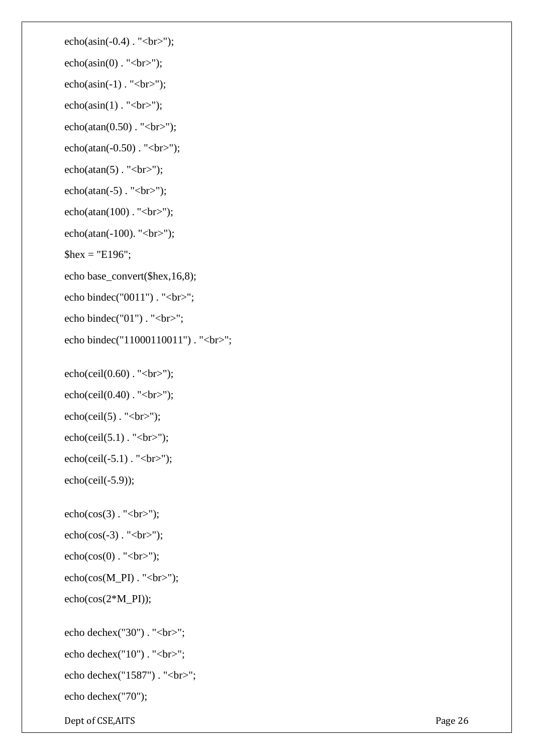echo(asin(-0.4)  $\cdot$  "<br/>shown);

- $echo(asin(0)$ . " $y$ ;
- $echo(asin(-1)$ . " $y$ ;
- $echo(asin(1)$ . " $y$ ;
- $echo(atan(0.50)$ . "<br/>  $\langle br \rangle$ ";
- $echo(atan(-0.50)$ . "<br/> ">");
- $echo(atan(5) \cdot "< br>)$ ;
- echo(atan(-5)  $\cdot$  " $\langle$ br $>$ ");
- $echo(atan(100)$ . " $);$ "
- echo(atan(-100). " $\langle b \rangle$ ";
- $$hex = "E196";$
- echo base\_convert(\$hex,16,8);
- echo bindec("0011") . "<br/>\*);
- echo bindec(" $01$ ") . "<br/>  $\langle$ br>";
- echo bindec("11000110011") . "<br/>\*);
- $echo(ceil(0.60)$ . "<br/>  $\langle br \rangle$ ";
- $echo(ceil(0.40)$ . "<br/> ">");
- $echo(ceil(5)$ . " $\text{br}>$ ");
- $echo(ceil(5.1)$ . " $y$ ;
- $echo(ceil(-5.1)$ . " $\langle br \rangle$ ";
- $echo(ceil(-5.9));$
- $echo(cos(3) \cdot "< br>)$ ;
- $echo(\cos(-3) \cdot \text{``  
str>''});$
- $echo(cos(0)$ . " $y$ ;
- $echo(cos(M_PI)$ . " $db$ ;");
- echo(cos(2\*M\_PI));
- echo dechex("30"). "<br/>\*):
- echo dechex(" $10$ ") . "**";**
- echo dechex("1587"). "<br/>\*);
- echo dechex("70");
- Dept of CSE, AITS Page 26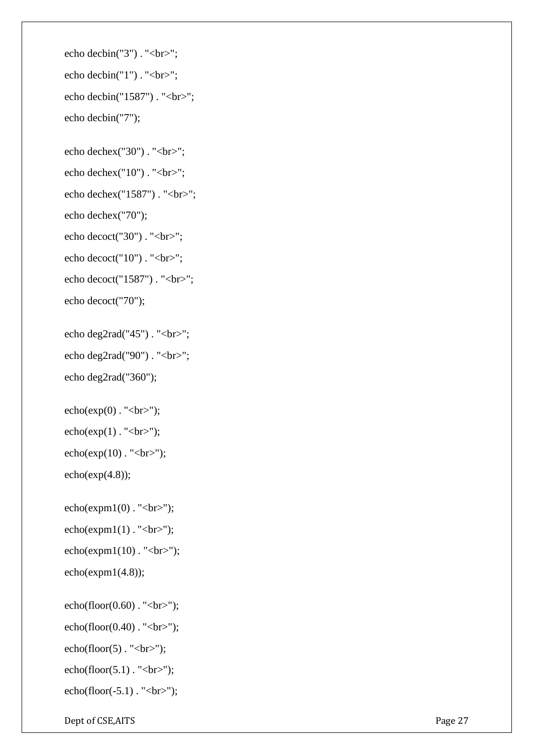```
echo decbin("3") . "<br/>*/s";
echo decbin("1") . "<br/> \langlebr>";
echo decbin("1587"). "<br/> */;
echo decbin("7");
```
echo dechex("30") . "<br/> \*/: echo dechex(" $10$ ") . " $\text{br}$ "; echo dechex("1587"). "<br/>\*); echo dechex("70"); echo decoct("30") . "<br/> \*/: echo decoct(" $10$ ") . " $\text{br}$ "; echo decoct(" $1587$ "). "<br/> $\langle$ br>"; echo decoct("70");

```
echo deg2rad("45"). "<br/>*);
echo deg2rad("90") . "<br/>>br>";
echo deg2rad("360");
```
 $echo(exp(0)$ . " $\text{br}>$ ");

```
echo(exp(1). "<br/> ', ");
```
 $echo(exp(10)$ . " $\text{br}>$ ");

```
echo(exp(4.8));
```

```
echo(expm1(0). "<br/> '', ");
echo(expm1(1). "<br/>y;
echo(expm1(10). "<br/> '',
echo(expm1(4.8));
```
 $echo(floor(0.60)$ . "<br/> ");  $echo(floor(0.40)$ . "<br/> ">");  $echo(floor(5)$ . " $\text{br}>$ ");

 $echo(floor(5.1)$ . " $\text{br}>$ ");

```
echo(floor(-5.1). "<br/>\langle br \rangle";
```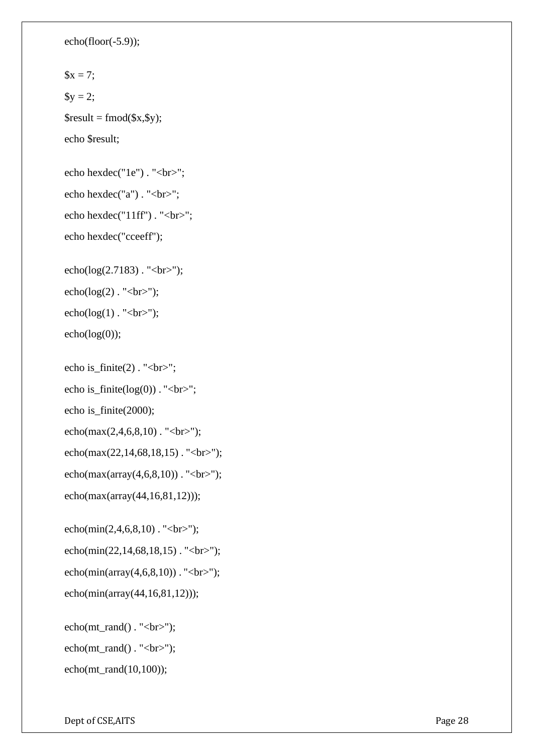echo(floor(-5.9));

```
Sx = 7;
$y = 2;$result = find($x, $y);echo $result;
echo hexdec("1e") . "\text{br}";
```
echo hexdec("a") . "<br/>\*/s"; echo hexdec("11ff") . "<br/>\*/s"; echo hexdec("cceeff");

```
echo(log(2.7183). "<br/> ">");
echo(log(2). "<br/>y;
echo(log(1). "\langle br \rangle");
```
 $echo(log(0))$ ;

echo is\_finite(2)  $\cdot$  "<br/> \cdot :

echo is\_finite( $log(0)$ ) . "<br/>  $\langle$ br>";

echo is\_finite(2000);

 $echo(max(2,4,6,8,10)$ . "<br/> '', :

echo(max(22,14,68,18,15) . "<br/> \cdot \cdot \cdot \cdot \cdot \cdot \cdot \cdot \cdot \cdot \cdot \cdot \cdot \cdot \cdot \cdot \cdot \cdot \cdot \cdot \cdot \cdot \cdot \cdot \cdot \cdot \cdot \cdot \cdot \cdot \cdot \c

echo(max(array(4,6,8,10)) . "<br/>  $\langle$ br>");

echo(max(array(44,16,81,12)));

 $echo(min(2,4,6,8,10)$ . "<br/> '', "); echo(min(22,14,68,18,15) . "<br/> \cdot \cdot \cdot \cdot \cdot \cdot \cdot \cdot \cdot \cdot \cdot \cdot \cdot \cdot \cdot \cdot \cdot \cdot \cdot \cdot \cdot \cdot \cdot \cdot \cdot \cdot \cdot \cdot \cdot \cdot \cdot \c echo(min(array(4,6,8,10)) . "<br/>  $\langle$ br>"); echo(min(array(44,16,81,12)));

echo(mt\_rand()  $.$  "<br>"); echo(mt\_rand()  $.$  "<br>"); echo(mt\_rand(10,100));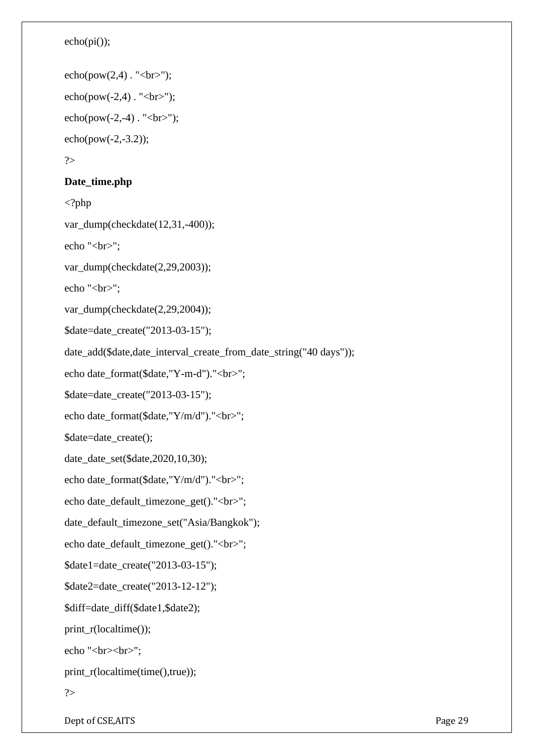```
echo(pi());
```

```
echo(pow(2,4). "<br/> '', '',
echo(pow(-2, 4). "<br/> '', '',
echo(pow(-2,-4). "<br/> ">");
echo(pow(-2,-3.2));
?>
```
# **Date\_time.php**

```
\langle?php
var_dump(checkdate(12,31,-400)); 
echo "<br/> ">";
var_dump(checkdate(2,29,2003)); 
echo "<br/> >";
var_dump(checkdate(2,29,2004));
$date=date_create("2013-03-15"); 
date_add($date,date_interval_create_from_date_string("40 days")); 
echo date_format($date,"Y-m-d")."<br/>>br>";
$date=date_create("2013-03-15");
echo date_format($date,"Y/m/d")."<br/>>br>";
$date=date_create(); 
date_date_set($date,2020,10,30);
echo date_format($date,"Y/m/d")."<br/>>br>";
echo date_default_timezone_get()."<br/> >";
date_default_timezone_set("Asia/Bangkok"); 
echo date_default_timezone_get()."<br/> \times";
$date1=date_create("2013-03-15");
$date2=date_create("2013-12-12");
$diff=date_diff($date1,$date2); 
print_r(localtime());
echo "<br/>*/>:
print_r(localtime(time(),true));
?>
```
Dept of CSE, AITS Page 29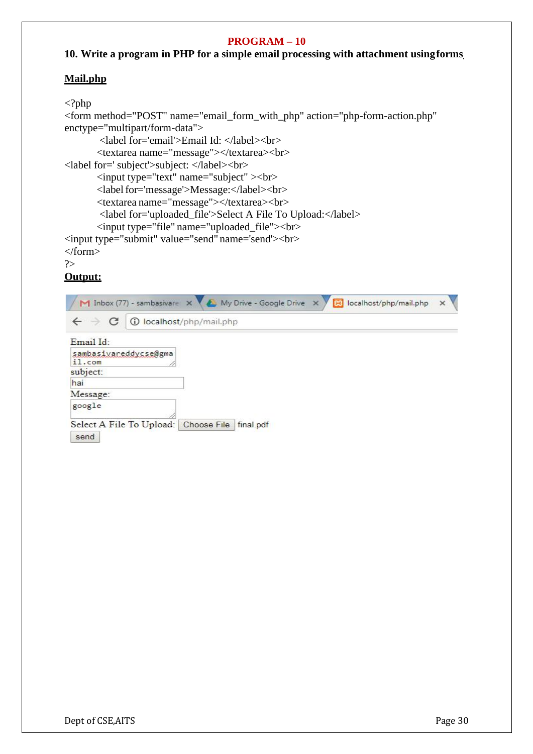# **10. Write a program in PHP for a simple email processing with attachment usingforms**

#### **Mail.php**

```
<?php
<form method="POST" name="email_form_with_php" action="php-form-action.php" 
enctype="multipart/form-data">
       <label for='email'>Email Id: </label><br>
       <textarea name="message"></textarea><br>
<label for=' subject'>subject: </label><br>
      <input type="text" name="subject" ><br>
       <labelfor='message'>Message:</label><br>
       <textarea name="message"></textarea><br>
       <label for='uploaded_file'>Select A File To Upload:</label>
       <input type="file" name="uploaded_file"><br>
<input type="submit" value="send" name='send'><br>
</form>
?>
Output:
```

|                                 | My Drive - Google Drive<br>localhost/php/mail.php<br>M Inbox (77) - sambasivare X<br>$\times$<br><b>B3</b><br>$\times$ |
|---------------------------------|------------------------------------------------------------------------------------------------------------------------|
|                                 | localhost/php/mail.php<br>G)                                                                                           |
| Email Id:                       |                                                                                                                        |
| sambasivareddycse@gma<br>il.com |                                                                                                                        |
| subject:                        |                                                                                                                        |
| hai                             |                                                                                                                        |
| Message:                        |                                                                                                                        |
| google                          |                                                                                                                        |
|                                 | Select A File To Upload: Choose File<br>final.pdf                                                                      |
| send                            |                                                                                                                        |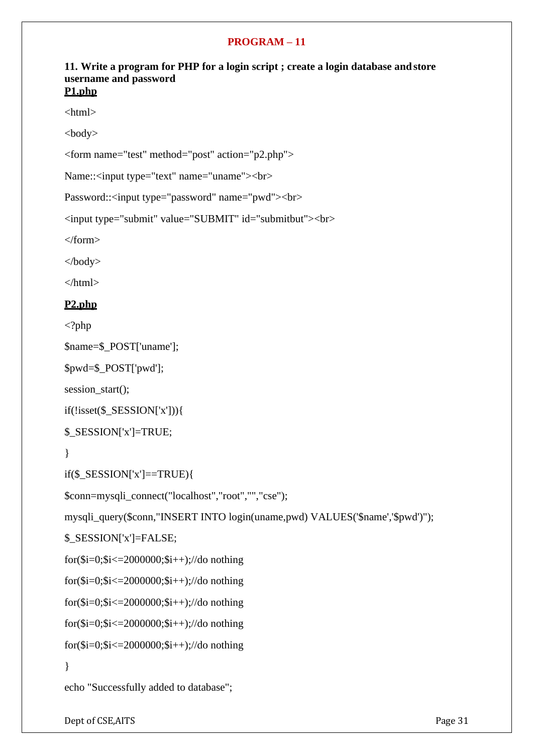#### **11. Write a program for PHP for a login script ; create a login database andstore username and password P1.php**

<html>

<body>

<form name="test" method="post" action="p2.php">

```
Name::<input type="text" name="uname"><br>
```

```
Password::<input type="password" name="pwd"><br>
```

```
<input type="submit" value="SUBMIT" id="submitbut"><br>
```
</form>

</body>

</html>

### **P2.php**

 $\langle$ ?php

```
$name=$_POST['uname'];
```
\$pwd=\$\_POST['pwd'];

session\_start();

```
if(!isset(\$_SESSION['x'])){
```

```
$_SESSION['x']=TRUE;
```

```
}
```

```
if($_SESSION['x']==TRUE){
```
\$conn=mysqli\_connect("localhost","root","","cse");

mysqli\_query(\$conn,"INSERT INTO login(uname,pwd) VALUES('\$name','\$pwd')");

\$\_SESSION['x']=FALSE;

for(\$i=0;\$i $\le$ =2000000;\$i++);//do nothing

for(\$i=0;\$i $\le$ =2000000;\$i++);//do nothing

```
for($i=0;$i<=2000000;$i++);//do nothing
```

```
for($i=0;$i<=2000000;$i++);//do nothing
```

```
for($i=0;$i<=2000000;$i++);//do nothing
```
}

echo "Successfully added to database";